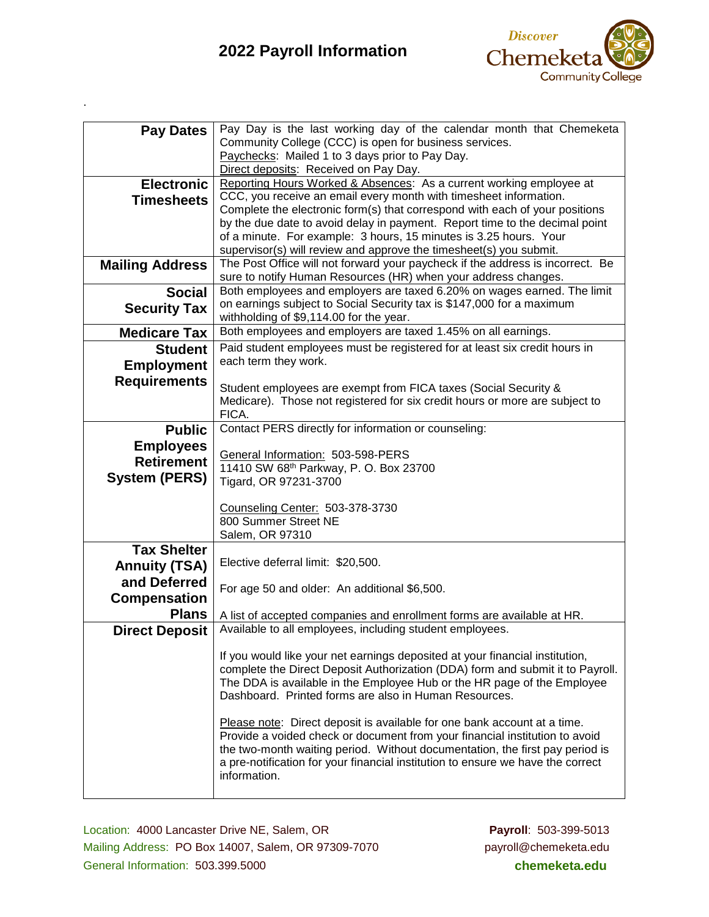## **2022 Payroll Information**

.



| <b>Pay Dates</b>       | Pay Day is the last working day of the calendar month that Chemeketa                                                                                           |
|------------------------|----------------------------------------------------------------------------------------------------------------------------------------------------------------|
|                        | Community College (CCC) is open for business services.                                                                                                         |
|                        | Paychecks: Mailed 1 to 3 days prior to Pay Day.                                                                                                                |
|                        | Direct deposits: Received on Pay Day.<br>Reporting Hours Worked & Absences: As a current working employee at                                                   |
| <b>Electronic</b>      | CCC, you receive an email every month with timesheet information.                                                                                              |
| <b>Timesheets</b>      | Complete the electronic form(s) that correspond with each of your positions                                                                                    |
|                        | by the due date to avoid delay in payment. Report time to the decimal point                                                                                    |
|                        | of a minute. For example: 3 hours, 15 minutes is 3.25 hours. Your                                                                                              |
|                        | supervisor(s) will review and approve the timesheet(s) you submit.                                                                                             |
| <b>Mailing Address</b> | The Post Office will not forward your paycheck if the address is incorrect. Be                                                                                 |
|                        | sure to notify Human Resources (HR) when your address changes.                                                                                                 |
| <b>Social</b>          | Both employees and employers are taxed 6.20% on wages earned. The limit                                                                                        |
| <b>Security Tax</b>    | on earnings subject to Social Security tax is \$147,000 for a maximum                                                                                          |
| <b>Medicare Tax</b>    | withholding of \$9,114.00 for the year.<br>Both employees and employers are taxed 1.45% on all earnings.                                                       |
| <b>Student</b>         | Paid student employees must be registered for at least six credit hours in                                                                                     |
|                        | each term they work.                                                                                                                                           |
| <b>Employment</b>      |                                                                                                                                                                |
| <b>Requirements</b>    | Student employees are exempt from FICA taxes (Social Security &                                                                                                |
|                        | Medicare). Those not registered for six credit hours or more are subject to                                                                                    |
|                        | FICA.                                                                                                                                                          |
| <b>Public</b>          | Contact PERS directly for information or counseling:                                                                                                           |
| <b>Employees</b>       | General Information: 503-598-PERS                                                                                                                              |
| <b>Retirement</b>      | 11410 SW 68th Parkway, P. O. Box 23700                                                                                                                         |
| <b>System (PERS)</b>   | Tigard, OR 97231-3700                                                                                                                                          |
|                        |                                                                                                                                                                |
|                        | Counseling Center: 503-378-3730                                                                                                                                |
|                        | 800 Summer Street NE                                                                                                                                           |
|                        | Salem, OR 97310                                                                                                                                                |
| <b>Tax Shelter</b>     |                                                                                                                                                                |
| <b>Annuity (TSA)</b>   | Elective deferral limit: \$20,500.                                                                                                                             |
| and Deferred           | For age 50 and older: An additional \$6,500.                                                                                                                   |
| <b>Compensation</b>    |                                                                                                                                                                |
| <b>Plans</b>           | A list of accepted companies and enrollment forms are available at HR.                                                                                         |
| <b>Direct Deposit</b>  | Available to all employees, including student employees.                                                                                                       |
|                        |                                                                                                                                                                |
|                        | If you would like your net earnings deposited at your financial institution,<br>complete the Direct Deposit Authorization (DDA) form and submit it to Payroll. |
|                        | The DDA is available in the Employee Hub or the HR page of the Employee                                                                                        |
|                        | Dashboard. Printed forms are also in Human Resources.                                                                                                          |
|                        |                                                                                                                                                                |
|                        | Please note: Direct deposit is available for one bank account at a time.                                                                                       |
|                        | Provide a voided check or document from your financial institution to avoid                                                                                    |
|                        | the two-month waiting period. Without documentation, the first pay period is                                                                                   |
|                        | a pre-notification for your financial institution to ensure we have the correct<br>information.                                                                |
|                        |                                                                                                                                                                |
|                        |                                                                                                                                                                |